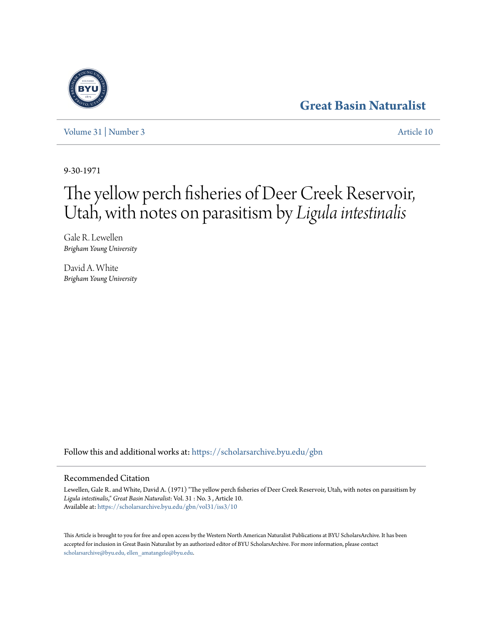# **[Great Basin Naturalist](https://scholarsarchive.byu.edu/gbn?utm_source=scholarsarchive.byu.edu%2Fgbn%2Fvol31%2Fiss3%2F10&utm_medium=PDF&utm_campaign=PDFCoverPages)**

[Volume 31](https://scholarsarchive.byu.edu/gbn/vol31?utm_source=scholarsarchive.byu.edu%2Fgbn%2Fvol31%2Fiss3%2F10&utm_medium=PDF&utm_campaign=PDFCoverPages) | [Number 3](https://scholarsarchive.byu.edu/gbn/vol31/iss3?utm_source=scholarsarchive.byu.edu%2Fgbn%2Fvol31%2Fiss3%2F10&utm_medium=PDF&utm_campaign=PDFCoverPages) [Article 10](https://scholarsarchive.byu.edu/gbn/vol31/iss3/10?utm_source=scholarsarchive.byu.edu%2Fgbn%2Fvol31%2Fiss3%2F10&utm_medium=PDF&utm_campaign=PDFCoverPages)

9-30-1971

# The yellow perch fisheries of Deer Creek Reservoir, Utah, with notes on parasitism by *Ligula intestinalis*

Gale R. Lewellen *Brigham Young University*

David A. White *Brigham Young University*

Follow this and additional works at: [https://scholarsarchive.byu.edu/gbn](https://scholarsarchive.byu.edu/gbn?utm_source=scholarsarchive.byu.edu%2Fgbn%2Fvol31%2Fiss3%2F10&utm_medium=PDF&utm_campaign=PDFCoverPages)

# Recommended Citation

Lewellen, Gale R. and White, David A. (1971) "The yellow perch fisheries of Deer Creek Reservoir, Utah, with notes on parasitism by *Ligula intestinalis*," *Great Basin Naturalist*: Vol. 31 : No. 3 , Article 10. Available at: [https://scholarsarchive.byu.edu/gbn/vol31/iss3/10](https://scholarsarchive.byu.edu/gbn/vol31/iss3/10?utm_source=scholarsarchive.byu.edu%2Fgbn%2Fvol31%2Fiss3%2F10&utm_medium=PDF&utm_campaign=PDFCoverPages)

This Article is brought to you for free and open access by the Western North American Naturalist Publications at BYU ScholarsArchive. It has been accepted for inclusion in Great Basin Naturalist by an authorized editor of BYU ScholarsArchive. For more information, please contact [scholarsarchive@byu.edu, ellen\\_amatangelo@byu.edu.](mailto:scholarsarchive@byu.edu,%20ellen_amatangelo@byu.edu)

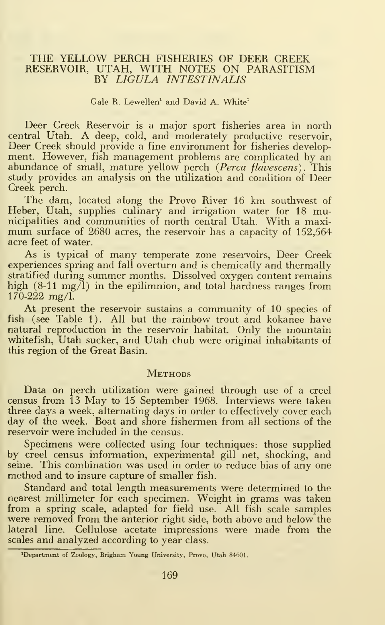### THE YELLOW PERCH FISHERIES OF DEER CREEK RESERVOIR, UTAH, WITH NOTES ON PARASITISM BY LIGULA 1NTESTINAL1S

#### Gale B. Lewellen<sup>1</sup> and David A. White<sup>1</sup>

Deer Creek Reservoir is a major sport fisheries area in north central Utah. A deep, cold, and moderately productive reservoir, Deer Creek should provide a fine environment for fisheries development. However, fish management problems are complicated by an abundance of small, mature yellow perch (Perca flavescens). This study provides an analysis on the utilization and condition of Deer Creek perch.

The dam, located along the Provo River <sup>16</sup> km southwest of Heber, Utah, supplies culinary and irrigation water for 18 municipalities and communities of north central Utah. With a maximum surface of <sup>2680</sup> acres, the reservoir has <sup>a</sup> capacity of 152,564 acre feet of water.

As is typical of many temperate zone reservoirs, Deer Creek experiences spring and fall overturn and is chemically and thermally stratified during summer months. Dissolved oxygen content remains high (8-11 mg/l) in the epilimnion, and total hardness ranges from 170-222 mg/1.

At present the reservoir sustains a community of 10 species of fish (see Table 1). All but the rainbow trout and kokanee have natural reproduction in the reservoir habitat. Only the mountain whitefish, Utah sucker, and Utah chub were original inhabitants of this region of the Great Basin.

#### **METHODS**

Data on perch utilization were gained through use of a creel census from <sup>13</sup> May to <sup>15</sup> September 1968. Interviews were taken three days a week, alternating days in order to effectively cover each day of the week. Boat and shore fishermen from all sections of the reservoir were included in the census.

Specimens were collected using four techniques: those supplied by creel census information, experimental gill net, shocking, and seine. This combination was used in order to reduce bias of any one method and to insure capture of smaller fish.

Standard and total length measurements were determined to the nearest millimeter for each specimen. Weight in grams was taken from a spring scale, adapted for field use. All fish scale samples were removed from the anterior right side, both above and below the lateral line. Cellulose acetate impressions were made from the scales and analyzed according to year class.

<sup>•</sup>Department of Zoology, Brigham Young University, Provo, Utah 84601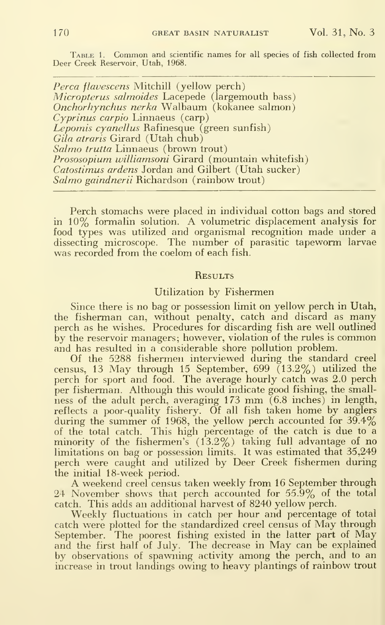TABLE 1. Common and scientific names for all species of fish collected from Deer Creek Reservoir, Utah, 1968.

Perca flavescens Mitchill (yellow perch) *Micropterus salmoides* Lacepede (largemouth bass) Onchorhynchus nerka Walbaum (kokanee salmon) Cyprinus carpio Linnaeus (carp) Lepomis cyanellus Rafinesque (green sunfish) Gila atraris Girard (Utah chub) Salmo trutta Linnaeus (brown trout) Prososopium williamsoni Girard (mountain whitefish) Catostimus ardens Jordan and Gilbert (Utah sucker) Salmo gaindnerii Richardson (rainbow trout)

Perch stomachs were placed in individual cotton bags and stored in 10% formalin solution. A volumetric displacement analysis for food types was utilized and organismal recognition made under a dissecting microscope. The number of parasitic tapeworm larvae was recorded from the coelom of each fish.

#### **RESULTS**

#### Utilization by Fishermen

Since there is no bag or possession limit on yellow perch in Utah, the fisherman can, without penalty, catch and discard as many perch as he wishes. Procedures for discarding fish are well outlined by the reservoir managers; however, violation of the rules is common and has resulted in a considerable shore pollution problem.

Of the 5288 fishermen interviewed during the standard creel census, 13 May through 15 September,  $699$   $(13.2%)$  utilized the perch for sport and food. The average hourly catch was 2.0 perch per fisherman. Although this would indicate good fishing, the small ness of the adult perch, averaging <sup>173</sup> mm (6.8 inches) in length, reflects a poor-quality fishery. Of all fish taken home by anglers during the summer of 1968, the yellow perch accounted for  $39.4\%$ of the total catch. This high percentage of the catch is due to a minority of the fishermen's (13.2%) taking full advantage of no limitations on bag or possession limits. It was estimated that 35,249 perch were caught and utilized by Deer Creek fishermen during the initial 18-week period.

A weekend creel census taken weekly from 16 September through 24 November shows that perch accounted for 55.9% of the total catch. This adds an additional harvest of 8240 yellow perch.

Weekly fluctuations in catch per hour and percentage of total catch were plotted for the standardized creel census of May through September. The poorest fishing existed in the latter part of May and the first half of July. The decrease in May can be explained by observations of spawning activity among the perch, and to an increase in trout landings owing to heavy plantings of rainbow trout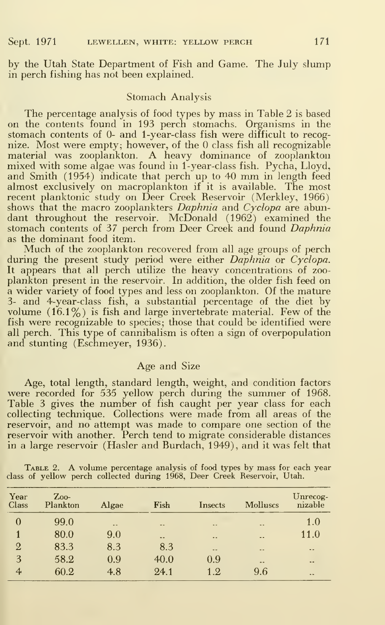by the Utah State Department of Fish and Game. The July slump in perch fishing has not been explained.

#### Stomach Analysis

The percentage analysis of food types by mass in Table 2 is based on the contents found in 193 perch stomachs. Organisms in the stomach contents of 0- and <sup>1</sup> -year-class fish were difficult to recognize. Most were empty; however, of the  $0$  class fish all recognizable material was zooplankton. A heavy dominance of zooplankton mixed with some algae was found in <sup>1</sup> -year-class fish. Pycha, Lloyd, and Smith (1954) indicate that perch up to <sup>40</sup> mm in length feed almost exclusively on macroplankton if it is available. The most recent planktonic study on Deer Creek Reservoir (Merkley, 1966) shows that the macro zooplankters *Daphnia* and *Cyclopa* are abundant throughout the reservoir. McDonald (1962) examined the stomach contents of 37 perch from Deer Creek and found Daphnia as the dominant food item.

Much of the zooplankton recovered from all age groups of perch during the present study period were either Daphnia or Cyclopa. It appears that all perch utilize the heavy concentrations of zoo plankton present in the reservoir. In addition, the older fish feed on a wider variety of food types and less on zooplankton. Of the mature 3- and 4-year-class fish, a substantial percentage of the diet by volume  $(16.1\%)$  is fish and large invertebrate material. Few of the fish were recognizable to species; those that could be identified were all perch. This type of cannibalism is often a sign of overpopulation and stunting (Eschmeyer, 1936).

#### Age and Size

Age, total length, standard length, weight, and condition factors were recorded for 535 yellow perch during the summer of 1968. Table 3 gives the number of fish caught per year class for each collecting technique. Collections were made from all areas of the reservoir, and no attempt was made to compare one section of the reservoir with another. Perch tend to migrate considerable distances in a large reservoir (Hasler and Burdach, 1949), and it was felt that

|                                                                          | TABLE 2. A volume percentage analysis of food types by mass for each year |
|--------------------------------------------------------------------------|---------------------------------------------------------------------------|
| class of yellow perch collected during 1968, Deer Creek Reservoir, Utah. |                                                                           |

| Year<br>Class  | Z <sub>00</sub><br>Plankton | Algae      | Fish          | Insects              | <b>Molluscs</b>          | Unrecog-<br>nizable |
|----------------|-----------------------------|------------|---------------|----------------------|--------------------------|---------------------|
| $\Omega$       | 99.0                        | $\sim$ $-$ | $\frac{1}{2}$ | $\blacksquare$       | $\sim$ $\sim$            | 1.0                 |
|                | 80.0                        | 9.0        | $\sim$ $-$    | $\ddot{\phantom{1}}$ | $\ddotsc$                | 11.0                |
| $\overline{2}$ | 83.3                        | 8.3        | 8.3           | $\overline{a}$       | $\frac{1}{2}$            | $\cdots$            |
| 3              | 58.2                        | 0.9        | 40.0          | 0.9                  | $\overline{\phantom{a}}$ | $\cdots$            |
| 4              | 60.2                        | 4.8        | 24.1          | 1.2                  | 9.6                      | $\sim$              |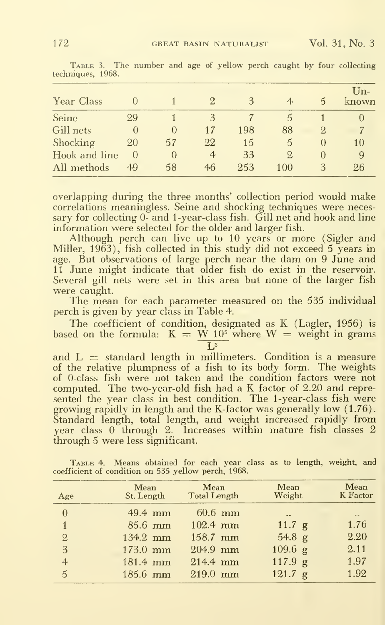| Year Class    | $\Box$           |          |                | 3   | 4   | 5         | $\mathrm{Un}$ -<br>known |
|---------------|------------------|----------|----------------|-----|-----|-----------|--------------------------|
| Seine         | 29               |          | 3              |     | 5   |           |                          |
| Gill nets     | $\left( \right)$ | $\theta$ | 17             | 198 | 88  | 9.        | 7                        |
| Shocking      | 20               | 57       | 22             | 15  | 5   | $\theta$  | 10                       |
| Hook and line | $\cup$           | $\theta$ | $\overline{4}$ | 33  | 9.  | $\bigcap$ | 9                        |
| All methods   | 49               | 58       | 46             | 253 | 100 | 3         | 26                       |

TABLE 3. The number and age of yellow perch caught by four collecting techniques, 1968.

overlapping during the three months' collection period would make correlations meaningless. Seine and shocking techniques were necessary for collecting 0- and 1-year-class fish. Gill net and hook and line information were selected for the older and larger fish.

Although perch can live up to 10 years or more (Sigler and Miller,  $1963$ ), fish collected in this study did not exceed 5 years in age. But observations of large perch near the dam on 9 June and 11 June might indicate that older fish do exist in the reservoir.<br>Several gill nets were set in this area but none of the larger fish were caught.

The mean for each parameter measured on the 535 individual perch is given by year class in Table 4.

The coefficient of condition, designated as K (Lagler, 1956) is based on the formula:  $K = W 10<sup>5</sup>$  where  $W =$  weight in grams  $\overline{13}$ 

and  $L =$  standard length in millimeters. Condition is a measure of the relative plumpness of a fish to its body form. The weights of 0-class fish were not taken and the condition factors were not computed. The two-year-old fish had a K factor of 2.20 and represented the year class in best condition. The 1-year-class fish were growing rapidly in length and the K-factor was generally low (1.76). Standard length, total length, and weight increased rapidly from year class 0 through 2. Increases within mature fish classes 2 through 5 were less significant.

TABLE 4. Means obtained for each year class as to length, weight, and coefficient of condition on 535 yellow perch, 1968.

| Age            | <b>Mean</b><br>St. Length | Mean<br><b>Total Length</b> | Mean<br>Weight       | Mean<br>K Factor |
|----------------|---------------------------|-----------------------------|----------------------|------------------|
| $\overline{0}$ | $49.4$ mm                 | $60.6$ mm                   | $\ddot{\phantom{a}}$ | $\sim$ $\sim$    |
| $\mathbf{1}$   | $85.6$ mm                 | $102.4$ mm                  | 11.7 g               | 1.76             |
| $\overline{2}$ | 134.2 mm                  | $158.7$ mm                  | 54.8 g               | 2.20             |
| 3              | $173.0$ mm                | $204.9$ mm                  | $109.6$ g            | 2.11             |
| $\overline{4}$ | 181.4 mm                  | $214.4 \text{ mm}$          | 117.9 g              | 1.97             |
| $\mathbf{5}$   | $185.6$ mm                | $219.0$ mm                  | 121.7 g              | 1.92             |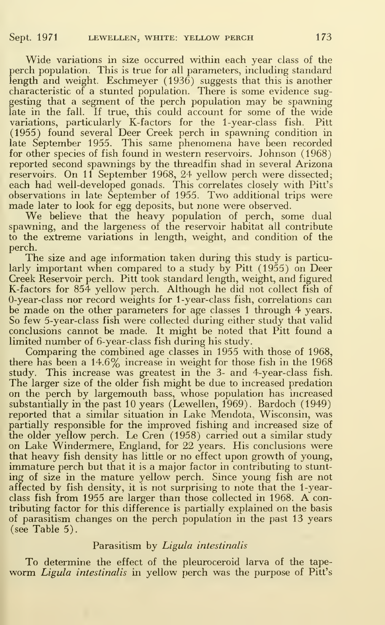Wide variations in size occurred within each year class of the perch population. This is true for all parameters, including standard length and weight. Eschmeyer (1936) suggests that this is another characteristic of a stunted population. There is some evidence sug gesting that <sup>a</sup> segment of the perch population may be spawning late in the fall. If true, this could account for some of the wide variations, particularly K-factors for the 1-year-class fish. Pitt (1955) found several Deer Creek perch in spawning condition in late September 1955. This same phenomena have been recorded for other species of fish found in western reservoirs. Johnson (1968) reported second spawnings by the threadfin shad in several Arizona reservoirs. On <sup>11</sup> September 1968, 24 yellow perch were dissected; each had well-developed gonads. This correlates closely with Pitt's observations in late September of 1955. Two additional trips were made later to look for egg deposits, but none were observed.

We believe that the heavy population of perch, some dual spawning, and the largeness of the reservoir habitat all contribute to the extreme variations in length, weight, and condition of the perch.

The size and age information taken during this study is particularly important when compared to a study by Pitt  $(1955)$  on Deer Creek Reservoir perch. Pitt took standard length, weight, and figured K-factors for 854 yellow perch. Although he did not collect fish of O-year-class nor record weights for <sup>1</sup> -year-class fish, correlations can be made on the other parameters for age classes 1 through 4 years. So few 5-year-class fish were collected during either study that valid conclusions cannot be made. It might be noted that Pitt found a limited number of 6-year-class fish during his study.

Comparing the combined age classes in 1955 with those of 1968, there has been a 14.6% increase in weight for those fish in the 1968 study. This increase was greatest in the 3- and 4-year-class fish. The larger size of the older fish might be due to increased predation on the perch by largemouth bass, whose population has increased substantially in the past 10 years (Lewellen, 1969). Bardoch (1949) reported that a similar situation in Lake Mendota, Wisconsin, was partially responsible for the improved fishing and increased size of the older yellow perch. Le Cren (1958) carried out a similar study on Lake Windermere, England, for 22 years. His conclusions were that heavy fish density has little or no effect upon growth of young, immature perch but that it is a major factor in contributing to stunting of size in the mature yellow perch. Since young fish are not affected by fish density, it is not surprising to note that the 1-yearclass fish from <sup>1955</sup> are larger than those collected in 1968. A contributing factor for this difference is partially explained on the basis of parasitism changes on the perch population in the past 13 years (see Table 5).

## Parasitism by Ligula intestinalis

To determine the effect of the pleuroceroid larva of the tapeworm *Ligula intestinalis* in yellow perch was the purpose of Pitt's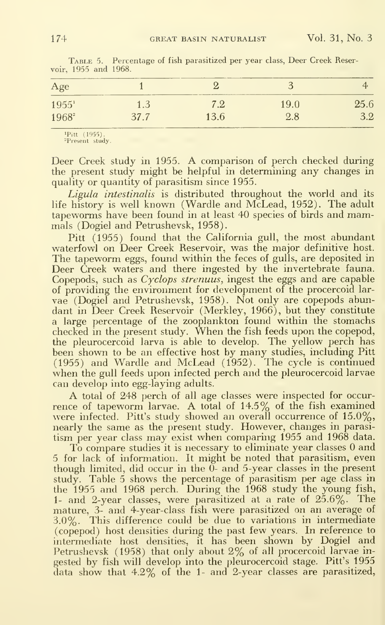| ________<br>Age |     | -             |      |      |  |
|-----------------|-----|---------------|------|------|--|
| $1955^1$        | 1.3 | $7.2^{\circ}$ | 19.0 | 25.6 |  |
| $1968^2$        |     | 13.6          | 2.8  | 3.2  |  |

TABLE 5. Percentage of fish parasitized per year class. Deer Creek Reservoir, 1955 and 1968.

<sup>1</sup>Pitt (1955) <sup>2</sup>Present study.

Deer Creek study in 1955. A comparison of perch checked during the present study might be helpful in determining any changes in quality or quantity of parasitism since 1955.

Ligula intestinalis is distributed throughout the world and its life history is well known (Wardle and McLead, 1952). The adult tapeworms have been found in at least 40 species of birds and mammals (Dogiel and Petrushevsk, 1958).

Pitt (1955) found that the California gull, the most abundant waterfowl on Deer Creek Reservoir, was the major definitive host. The tapeworm eggs, found within the feces of gulls, are deposited in Deer Creek waters and there ingested by the invertebrate fauna. Copepods, such as *Cyclops strenuus*, ingest the eggs and are capable of providing the environment for development of the procercoid larvae (Dogiel and Petrushevsk, 1958). Not only are copepods abundant in Deer Creek Reservoir (Merkley, 1966), but they constitute a large percentage of the zooplankton found within the stomachs checked in the present study. When the fish feeds upon the copepod, the pleurocercoid larva is able to develop. The yellow perch has been shown to be an effective host by many studies, including Pitt (1955) and Wardle and McLead (1952). The cycle is continued when the gull feeds upon infected perch and the pleurocercoid larvae can develop into egg-laying adults.

A total of 248 perch of all age classes were inspected for occurrence of tapeworm larvae. A total of 14.5% of the fish examined were infected. Pitt's study showed an overall occurrence of 15.0%, nearly the same as the present study. However, changes in parasitism per year class may exist when comparing 1955 and 1968 data.

To compare studies it is necessary to eliminate year classes 0 and 5 for lack of information. It might be noted that parasitism, even though limited, did occur in the 0- and 5-year classes in the present study. Table 5 shows the percentage of parasitism per age class in the 1955 and 1968 perch. During the 1968 study the young fish, 1- and 2-year classes, were parasitized at a rate of  $25.6\%$ . The mature, 3- and 4-year-class fish were parasitized on an average of This difference could be due to variations in intermediate  $3.0\%$ . (copepod) host densities during the past few years. In reference to intermediate host densities, it has been shown by Dogiel and Petrushevsk (1958) that only about 2% of all procercoid larvae ingested by fish will develop into the pleurocercoid stage. Pitt's 1955 data show that 4.2% of the 1- and 2-year classes are parasitized,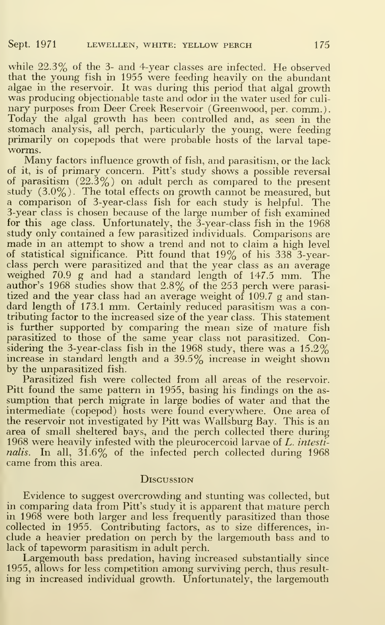while 22.3% of the 3- and 4-year classes are infected. He observed that the young fish in 1955 were feeding heavily on the abundant algae in the reservoir. It was during this period that algal growth was producing objectionable taste and odor in the water used for culinary purposes from Deer Creek Reservoir (Greenwood, per. comm.). Today the algal growth has been controlled and, as seen in the stomach analysis, all perch, particularly the young, were feeding primarily on copepods that were probable hosts of the larval tape-

Many factors influence growth of fish, and parasitism, or the lack of it, is of primary concern. Pitt's study shows a possible reversal of parasitism  $(22.3\%)$  on adult perch as compared to the present study (3.0%). The total effects on growth cannot be measured, but a comparison of 3-year-class fish for each study is helpful. The 3-year class is chosen because of the large number of fish examined for this age class. Unfortunately, the  $3$ -year-class fish in the 1968 study only contained a few parasitized individuals. Comparisons are made in an attempt to show a trend and not to claim a high level of statistical significance. Pitt found that 19% of his 338 3-yearclass perch were parasitized and that the year class as an average weighed 70.9 g and had a standard length of 147.5 mm. The author's 1968 studies show that 2.8% of the 253 perch were parasitized and the year class had an average weight of 109.7 g and stan dard length of 173.1 mm. Certainly reduced parasitism was <sup>a</sup> contributing factor to the increased size of the year class. This statement is further supported by comparing the mean size of mature fish parasitized to those of the same year class not parasitized. Considering the 3-year-class fish in the 1968 study, there was a 15.2% increase in standard length and a 39.5% increase in weight shown by the unparasitized fish.

Parasitized fish were collected from all areas of the reservoir. Pitt found the same pattern in 1955, basing his findings on the as sumption that perch migrate in large bodies of water and that the intermediate (copepod) hosts were found everywhere. One area of the reservoir not investigated by Pitt was Wallsburg Bay. This is an area of small sheltered bays, and the perch collected there during 1968 were heavily infested with the pleurocercoid larvae of L. intestinalis. In all,  $31.6\%$  of the infected perch collected during 1968 came from this area.

#### **DISCUSSION**

Evidence to suggest overcrowding and stunting was collected, but in comparing data from Pitt's study it is apparent that mature perch in 1968 were both larger and less frequently parasitized than those collected in 1955. Contributing factors, as to size differences, in clude a heavier predation on perch by the largemouth bass and to lack of tapeworm parasitism in adult perch.

Largemouth bass predation, having increased substantially since 1955, allows for less competition among surviving perch, thus result ing in increased individual growth. Unfortunately, the largemouth